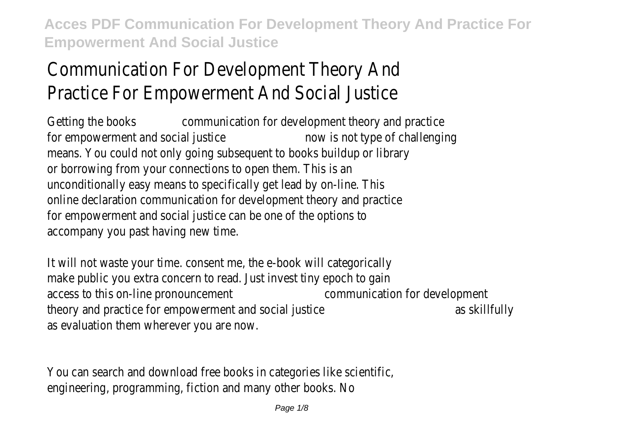# Communication For Development Theory And Practice For Empowerment And Social Justice

Getting the books communication for development theory and practice for empowerment and social justice now is not type of challenging means. You could not only going subsequent to books buildup or library or borrowing from your connections to open them. This is an unconditionally easy means to specifically get lead by on-line. This online declaration communication for development theory and practice for empowerment and social justice can be one of the options to accompany you past having new time.

It will not waste your time. consent me, the e-book will categorically make public you extra concern to read. Just invest tiny epoch to gain access to this on-line pronouncement communication for development theory and practice for empowerment and social justice and social structure as skillfully as evaluation them wherever you are now.

You can search and download free books in categories like scientific, engineering, programming, fiction and many other books. No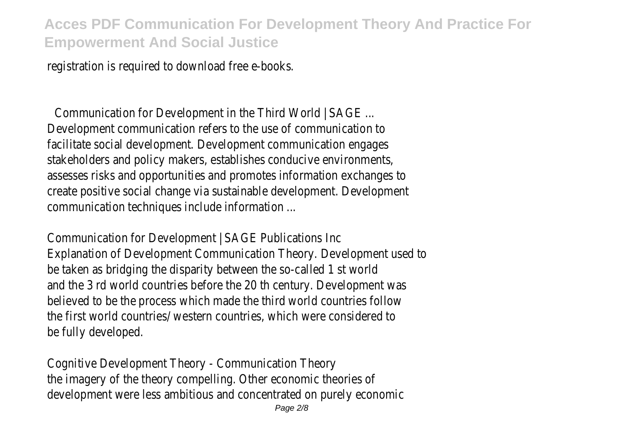registration is required to download free e-books.

Communication for Development in the Third World | SAGE ... Development communication refers to the use of communication to facilitate social development. Development communication engages stakeholders and policy makers, establishes conducive environments, assesses risks and opportunities and promotes information exchanges to create positive social change via sustainable development. Development communication techniques include information ...

Communication for Development | SAGE Publications Inc Explanation of Development Communication Theory. Development used to be taken as bridging the disparity between the so-called 1 st world and the 3 rd world countries before the 20 th century. Development was believed to be the process which made the third world countries follow the first world countries/ western countries, which were considered to be fully developed.

Cognitive Development Theory - Communication Theory the imagery of the theory compelling. Other economic theories of development were less ambitious and concentrated on purely economic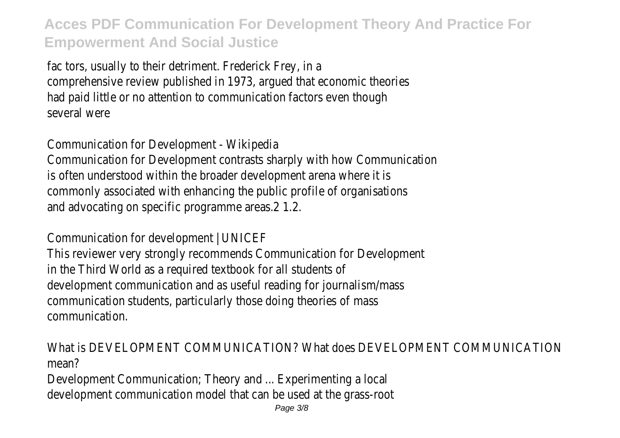fac tors, usually to their detriment. Frederick Frey, in a comprehensive review published in 1973, argued that economic theories had paid little or no attention to communication factors even though several were

Communication for Development - Wikipedia Communication for Development contrasts sharply with how Communication is often understood within the broader development arena where it is commonly associated with enhancing the public profile of organisations and advocating on specific programme areas.2 1.2.

Communication for development | UNICEF This reviewer very strongly recommends Communication for Development in the Third World as a required textbook for all students of development communication and as useful reading for journalism/mass communication students, particularly those doing theories of mass communication.

What is DEVELOPMENT COMMUNICATION? What does DEVELOPMENT COMMUNICATION mean?

Development Communication; Theory and ... Experimenting a local development communication model that can be used at the grass-root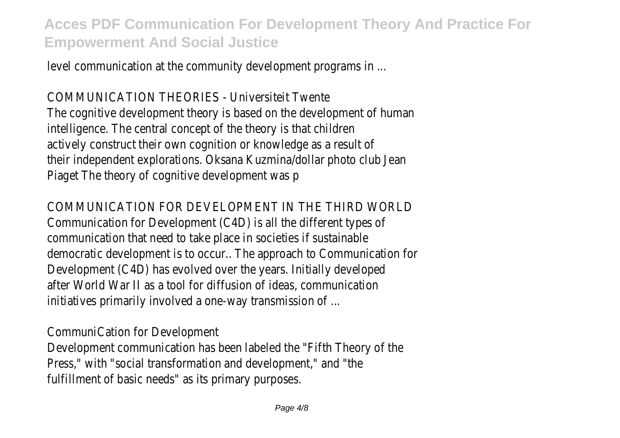level communication at the community development programs in ...

COMMUNICATION THEORIES - Universiteit Twente The cognitive development theory is based on the development of human intelligence. The central concept of the theory is that children actively construct their own cognition or knowledge as a result of their independent explorations. Oksana Kuzmina/dollar photo club Jean Piaget The theory of cognitive development was p

#### COMMUNICATION FOR DEVELOPMENT IN THE THIRD WORLD

Communication for Development (C4D) is all the different types of communication that need to take place in societies if sustainable democratic development is to occur.. The approach to Communication for Development (C4D) has evolved over the years. Initially developed after World War II as a tool for diffusion of ideas, communication initiatives primarily involved a one-way transmission of ...

CommuniCation for Development

Development communication has been labeled the "Fifth Theory of the Press," with "social transformation and development," and "the fulfillment of basic needs" as its primary purposes.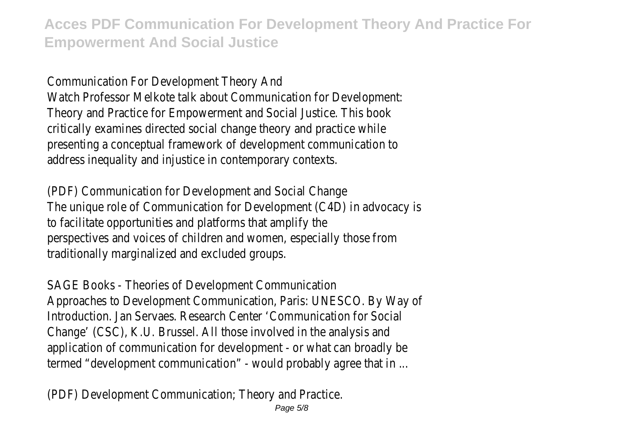Communication For Development Theory And Watch Professor Melkote talk about Communication for Development: Theory and Practice for Empowerment and Social Justice. This book critically examines directed social change theory and practice while presenting a conceptual framework of development communication to address inequality and injustice in contemporary contexts.

(PDF) Communication for Development and Social Change The unique role of Communication for Development (C4D) in advocacy is to facilitate opportunities and platforms that amplify the perspectives and voices of children and women, especially those from traditionally marginalized and excluded groups.

SAGE Books - Theories of Development Communication Approaches to Development Communication, Paris: UNESCO. By Way of Introduction. Jan Servaes. Research Center 'Communication for Social Change' (CSC), K.U. Brussel. All those involved in the analysis and application of communication for development - or what can broadly be termed "development communication" - would probably agree that in ...

(PDF) Development Communication; Theory and Practice.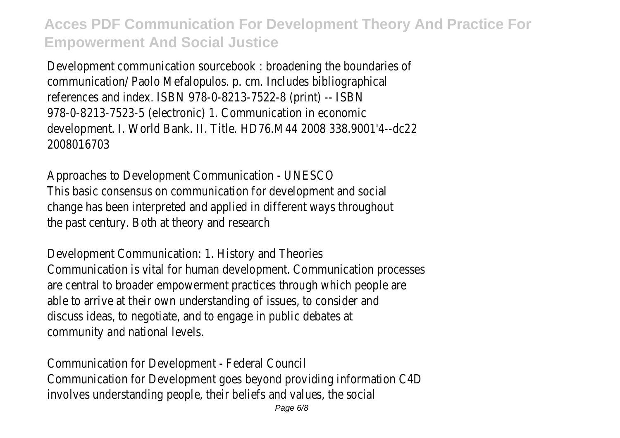Development communication sourcebook : broadening the boundaries of communication/ Paolo Mefalopulos. p. cm. Includes bibliographical references and index. ISBN 978-0-8213-7522-8 (print) -- ISBN 978-0-8213-7523-5 (electronic) 1. Communication in economic development. I. World Bank. II. Title. HD76.M44 2008 338.9001'4--dc22 2008016703

Approaches to Development Communication - UNESCO This basic consensus on communication for development and social change has been interpreted and applied in different ways throughout the past century. Both at theory and research

Development Communication: 1. History and Theories Communication is vital for human development. Communication processes are central to broader empowerment practices through which people are able to arrive at their own understanding of issues, to consider and discuss ideas, to negotiate, and to engage in public debates at community and national levels.

Communication for Development - Federal Council Communication for Development goes beyond providing information C4D involves understanding people, their beliefs and values, the social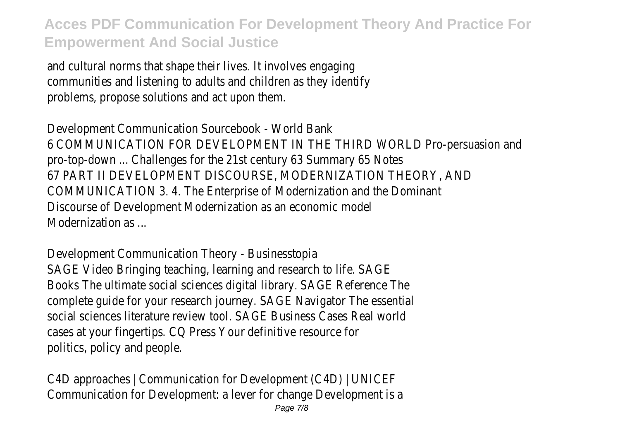and cultural norms that shape their lives. It involves engaging communities and listening to adults and children as they identify problems, propose solutions and act upon them.

Development Communication Sourcebook - World Bank 6 COMMUNICATION FOR DEVELOPMENT IN THE THIRD WORLD Pro-persuasion and pro-top-down ... Challenges for the 21st century 63 Summary 65 Notes 67 PART II DEVELOPMENT DISCOURSE, MODERNIZATION THEORY, AND COMMUNICATION 3. 4. The Enterprise of Modernization and the Dominant Discourse of Development Modernization as an economic model Modernization as

Development Communication Theory - Businesstopia SAGE Video Bringing teaching, learning and research to life. SAGE Books The ultimate social sciences digital library. SAGE Reference The complete guide for your research journey. SAGE Navigator The essential social sciences literature review tool. SAGE Business Cases Real world cases at your fingertips. CQ Press Your definitive resource for politics, policy and people.

C4D approaches | Communication for Development (C4D) | UNICEF Communication for Development: a lever for change Development is a